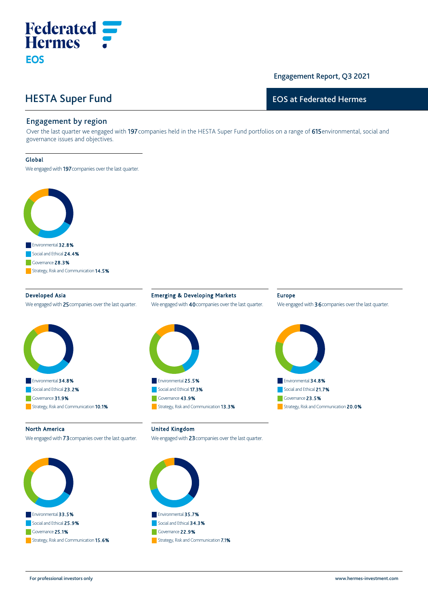# HESTA Super Fund

**Federated**<br>**Hermes** :

## Engagement Report, Q3 2021

## EOS at Federated Hermes

## Engagement by region

Over the last quarter we engaged with 197 companies held in the HESTA Super Fund portfolios on a range of 615 environmental, social and governance issues and objectives.

#### Global

**EOS** 

We engaged with 197 companies over the last quarter.



Developed Asia We engaged with 25 companies over the last quarter.



Emerging & Developing Markets We engaged with 40 companies over the last quarter.



#### Europe

We engaged with 36 companies over the last quarter.



#### North America

We engaged with **73** companies over the last quarter.



United Kingdom

We engaged with 23 companies over the last quarter.



For professional investors only www.hermes‐investment.com